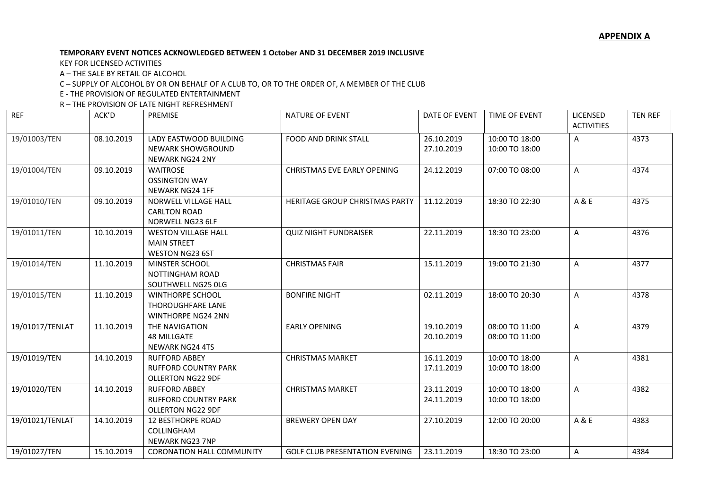## **TEMPORARY EVENT NOTICES ACKNOWLEDGED BETWEEN 1 October AND 31 DECEMBER 2019 INCLUSIVE**

KEY FOR LICENSED ACTIVITIES

A – THE SALE BY RETAIL OF ALCOHOL

C – SUPPLY OF ALCOHOL BY OR ON BEHALF OF A CLUB TO, OR TO THE ORDER OF, A MEMBER OF THE CLUB

E - THE PROVISION OF REGULATED ENTERTAINMENT

R – THE PROVISION OF LATE NIGHT REFRESHMENT

| <b>REF</b>      | ACK'D      | <b>PREMISE</b>                   | <b>NATURE OF EVENT</b>                | DATE OF EVENT | <b>TIME OF EVENT</b> | LICENSED          | <b>TEN REF</b> |
|-----------------|------------|----------------------------------|---------------------------------------|---------------|----------------------|-------------------|----------------|
|                 |            |                                  |                                       |               |                      | <b>ACTIVITIES</b> |                |
| 19/01003/TEN    | 08.10.2019 | LADY EASTWOOD BUILDING           | FOOD AND DRINK STALL                  | 26.10.2019    | 10:00 TO 18:00       | A                 | 4373           |
|                 |            | <b>NEWARK SHOWGROUND</b>         |                                       | 27.10.2019    | 10:00 TO 18:00       |                   |                |
|                 |            | <b>NEWARK NG24 2NY</b>           |                                       |               |                      |                   |                |
| 19/01004/TEN    | 09.10.2019 | <b>WAITROSE</b>                  | <b>CHRISTMAS EVE EARLY OPENING</b>    | 24.12.2019    | 07:00 TO 08:00       | Α                 | 4374           |
|                 |            | <b>OSSINGTON WAY</b>             |                                       |               |                      |                   |                |
|                 |            | NEWARK NG24 1FF                  |                                       |               |                      |                   |                |
| 19/01010/TEN    | 09.10.2019 | NORWELL VILLAGE HALL             | HERITAGE GROUP CHRISTMAS PARTY        | 11.12.2019    | 18:30 TO 22:30       | A & E             | 4375           |
|                 |            | <b>CARLTON ROAD</b>              |                                       |               |                      |                   |                |
|                 |            | NORWELL NG23 6LF                 |                                       |               |                      |                   |                |
| 19/01011/TEN    | 10.10.2019 | <b>WESTON VILLAGE HALL</b>       | <b>QUIZ NIGHT FUNDRAISER</b>          | 22.11.2019    | 18:30 TO 23:00       | Α                 | 4376           |
|                 |            | <b>MAIN STREET</b>               |                                       |               |                      |                   |                |
|                 |            | <b>WESTON NG23 6ST</b>           |                                       |               |                      |                   |                |
| 19/01014/TEN    | 11.10.2019 | MINSTER SCHOOL                   | <b>CHRISTMAS FAIR</b>                 | 15.11.2019    | 19:00 TO 21:30       | Α                 | 4377           |
|                 |            | <b>NOTTINGHAM ROAD</b>           |                                       |               |                      |                   |                |
|                 |            | SOUTHWELL NG25 OLG               |                                       |               |                      |                   |                |
| 19/01015/TEN    | 11.10.2019 | <b>WINTHORPE SCHOOL</b>          | <b>BONFIRE NIGHT</b>                  | 02.11.2019    | 18:00 TO 20:30       | Α                 | 4378           |
|                 |            | <b>THOROUGHFARE LANE</b>         |                                       |               |                      |                   |                |
|                 |            | <b>WINTHORPE NG24 2NN</b>        |                                       |               |                      |                   |                |
| 19/01017/TENLAT | 11.10.2019 | THE NAVIGATION                   | <b>EARLY OPENING</b>                  | 19.10.2019    | 08:00 TO 11:00       | Α                 | 4379           |
|                 |            | <b>48 MILLGATE</b>               |                                       | 20.10.2019    | 08:00 TO 11:00       |                   |                |
|                 |            | <b>NEWARK NG24 4TS</b>           |                                       |               |                      |                   |                |
| 19/01019/TEN    | 14.10.2019 | <b>RUFFORD ABBEY</b>             | <b>CHRISTMAS MARKET</b>               | 16.11.2019    | 10:00 TO 18:00       | Α                 | 4381           |
|                 |            | <b>RUFFORD COUNTRY PARK</b>      |                                       | 17.11.2019    | 10:00 TO 18:00       |                   |                |
|                 |            | <b>OLLERTON NG22 9DF</b>         |                                       |               |                      |                   |                |
| 19/01020/TEN    | 14.10.2019 | <b>RUFFORD ABBEY</b>             | <b>CHRISTMAS MARKET</b>               | 23.11.2019    | 10:00 TO 18:00       | Α                 | 4382           |
|                 |            | <b>RUFFORD COUNTRY PARK</b>      |                                       | 24.11.2019    | 10:00 TO 18:00       |                   |                |
|                 |            | <b>OLLERTON NG22 9DF</b>         |                                       |               |                      |                   |                |
| 19/01021/TENLAT | 14.10.2019 | <b>12 BESTHORPE ROAD</b>         | <b>BREWERY OPEN DAY</b>               | 27.10.2019    | 12:00 TO 20:00       | A & E             | 4383           |
|                 |            | COLLINGHAM                       |                                       |               |                      |                   |                |
|                 |            | <b>NEWARK NG23 7NP</b>           |                                       |               |                      |                   |                |
| 19/01027/TEN    | 15.10.2019 | <b>CORONATION HALL COMMUNITY</b> | <b>GOLF CLUB PRESENTATION EVENING</b> | 23.11.2019    | 18:30 TO 23:00       | A                 | 4384           |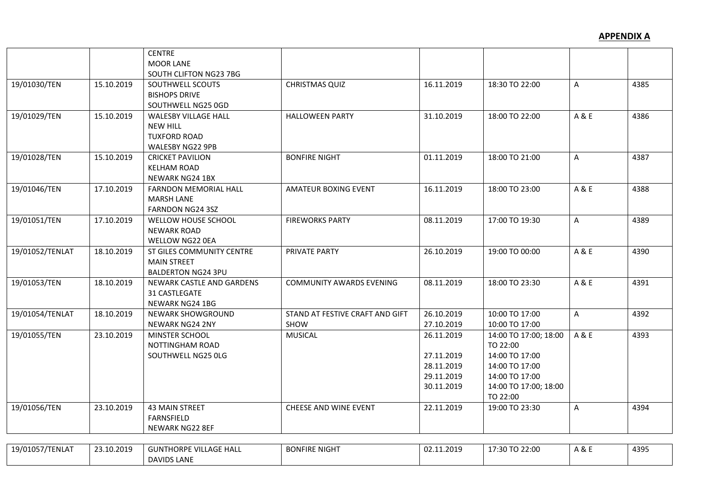|                 |            | <b>CENTRE</b>                 |                                 |            |                       |              |      |
|-----------------|------------|-------------------------------|---------------------------------|------------|-----------------------|--------------|------|
|                 |            | <b>MOOR LANE</b>              |                                 |            |                       |              |      |
|                 |            | SOUTH CLIFTON NG23 7BG        |                                 |            |                       |              |      |
| 19/01030/TEN    | 15.10.2019 | SOUTHWELL SCOUTS              | <b>CHRISTMAS QUIZ</b>           | 16.11.2019 | 18:30 TO 22:00        | $\mathsf{A}$ | 4385 |
|                 |            | <b>BISHOPS DRIVE</b>          |                                 |            |                       |              |      |
|                 |            | SOUTHWELL NG25 0GD            |                                 |            |                       |              |      |
| 19/01029/TEN    | 15.10.2019 | <b>WALESBY VILLAGE HALL</b>   | <b>HALLOWEEN PARTY</b>          | 31.10.2019 | 18:00 TO 22:00        | A & E        | 4386 |
|                 |            | <b>NEW HILL</b>               |                                 |            |                       |              |      |
|                 |            | <b>TUXFORD ROAD</b>           |                                 |            |                       |              |      |
|                 |            | WALESBY NG22 9PB              |                                 |            |                       |              |      |
| 19/01028/TEN    | 15.10.2019 | <b>CRICKET PAVILION</b>       | <b>BONFIRE NIGHT</b>            | 01.11.2019 | 18:00 TO 21:00        | A            | 4387 |
|                 |            | <b>KELHAM ROAD</b>            |                                 |            |                       |              |      |
|                 |            | <b>NEWARK NG24 1BX</b>        |                                 |            |                       |              |      |
| 19/01046/TEN    | 17.10.2019 | <b>FARNDON MEMORIAL HALL</b>  | <b>AMATEUR BOXING EVENT</b>     | 16.11.2019 | 18:00 TO 23:00        | A & E        | 4388 |
|                 |            | <b>MARSH LANE</b>             |                                 |            |                       |              |      |
|                 |            | <b>FARNDON NG24 3SZ</b>       |                                 |            |                       |              |      |
| 19/01051/TEN    | 17.10.2019 | WELLOW HOUSE SCHOOL           | <b>FIREWORKS PARTY</b>          | 08.11.2019 | 17:00 TO 19:30        | A            | 4389 |
|                 |            | <b>NEWARK ROAD</b>            |                                 |            |                       |              |      |
|                 |            | <b>WELLOW NG22 0EA</b>        |                                 |            |                       |              |      |
| 19/01052/TENLAT | 18.10.2019 | ST GILES COMMUNITY CENTRE     | PRIVATE PARTY                   | 26.10.2019 | 19:00 TO 00:00        | A & E        | 4390 |
|                 |            | <b>MAIN STREET</b>            |                                 |            |                       |              |      |
|                 |            | <b>BALDERTON NG24 3PU</b>     |                                 |            |                       |              |      |
| 19/01053/TEN    | 18.10.2019 | NEWARK CASTLE AND GARDENS     | <b>COMMUNITY AWARDS EVENING</b> | 08.11.2019 | 18:00 TO 23:30        | A & E        | 4391 |
|                 |            | 31 CASTLEGATE                 |                                 |            |                       |              |      |
|                 |            | NEWARK NG24 1BG               |                                 |            |                       |              |      |
| 19/01054/TENLAT | 18.10.2019 | <b>NEWARK SHOWGROUND</b>      | STAND AT FESTIVE CRAFT AND GIFT | 26.10.2019 | 10:00 TO 17:00        | A            | 4392 |
|                 |            | <b>NEWARK NG24 2NY</b>        | SHOW                            | 27.10.2019 | 10:00 TO 17:00        |              |      |
| 19/01055/TEN    | 23.10.2019 | MINSTER SCHOOL                | <b>MUSICAL</b>                  | 26.11.2019 | 14:00 TO 17:00; 18:00 | A & E        | 4393 |
|                 |            | NOTTINGHAM ROAD               |                                 |            | TO 22:00              |              |      |
|                 |            | SOUTHWELL NG25 OLG            |                                 | 27.11.2019 | 14:00 TO 17:00        |              |      |
|                 |            |                               |                                 | 28.11.2019 | 14:00 TO 17:00        |              |      |
|                 |            |                               |                                 | 29.11.2019 | 14:00 TO 17:00        |              |      |
|                 |            |                               |                                 | 30.11.2019 | 14:00 TO 17:00; 18:00 |              |      |
|                 |            |                               |                                 |            | TO 22:00              |              |      |
| 19/01056/TEN    | 23.10.2019 | <b>43 MAIN STREET</b>         | <b>CHEESE AND WINE EVENT</b>    | 22.11.2019 | 19:00 TO 23:30        | A            | 4394 |
|                 |            | <b>FARNSFIELD</b>             |                                 |            |                       |              |      |
|                 |            | NEWARK NG22 8EF               |                                 |            |                       |              |      |
|                 |            |                               |                                 |            |                       |              |      |
| 19/01057/TENLAT | 23.10.2019 | <b>GUNTHORPE VILLAGE HALL</b> | <b>BONFIRE NIGHT</b>            | 02.11.2019 | 17:30 TO 22:00        | A & E        | 4395 |

DAVIDS LANE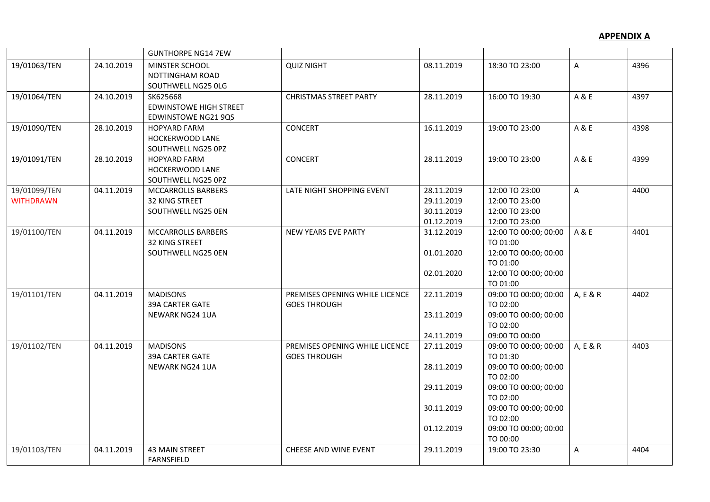|                                  |            | <b>GUNTHORPE NG14 7EW</b>                                               |                                                       |                                                                    |                                                                                                                                                                                       |          |      |
|----------------------------------|------------|-------------------------------------------------------------------------|-------------------------------------------------------|--------------------------------------------------------------------|---------------------------------------------------------------------------------------------------------------------------------------------------------------------------------------|----------|------|
| 19/01063/TEN                     | 24.10.2019 | MINSTER SCHOOL<br>NOTTINGHAM ROAD<br>SOUTHWELL NG25 OLG                 | <b>QUIZ NIGHT</b>                                     | 08.11.2019                                                         | 18:30 TO 23:00                                                                                                                                                                        | A        | 4396 |
| 19/01064/TEN                     | 24.10.2019 | SK625668<br><b>EDWINSTOWE HIGH STREET</b><br><b>EDWINSTOWE NG21 9QS</b> | <b>CHRISTMAS STREET PARTY</b>                         | 28.11.2019                                                         | 16:00 TO 19:30                                                                                                                                                                        | A & E    | 4397 |
| 19/01090/TEN                     | 28.10.2019 | <b>HOPYARD FARM</b><br>HOCKERWOOD LANE<br>SOUTHWELL NG25 0PZ            | <b>CONCERT</b>                                        | 16.11.2019                                                         | 19:00 TO 23:00                                                                                                                                                                        | A & E    | 4398 |
| 19/01091/TEN                     | 28.10.2019 | <b>HOPYARD FARM</b><br>HOCKERWOOD LANE<br>SOUTHWELL NG25 0PZ            | <b>CONCERT</b>                                        | 28.11.2019                                                         | 19:00 TO 23:00                                                                                                                                                                        | A & E    | 4399 |
| 19/01099/TEN<br><b>WITHDRAWN</b> | 04.11.2019 | MCCARROLLS BARBERS<br>32 KING STREET<br>SOUTHWELL NG25 0EN              | LATE NIGHT SHOPPING EVENT                             | 28.11.2019<br>29.11.2019<br>30.11.2019<br>01.12.2019               | 12:00 TO 23:00<br>12:00 TO 23:00<br>12:00 TO 23:00<br>12:00 TO 23:00                                                                                                                  | A        | 4400 |
| 19/01100/TEN                     | 04.11.2019 | MCCARROLLS BARBERS<br>32 KING STREET<br>SOUTHWELL NG25 0EN              | NEW YEARS EVE PARTY                                   | 31.12.2019<br>01.01.2020<br>02.01.2020                             | 12:00 TO 00:00; 00:00<br>TO 01:00<br>12:00 TO 00:00; 00:00<br>TO 01:00<br>12:00 TO 00:00; 00:00<br>TO 01:00                                                                           | A & E    | 4401 |
| 19/01101/TEN                     | 04.11.2019 | <b>MADISONS</b><br>39A CARTER GATE<br>NEWARK NG24 1UA                   | PREMISES OPENING WHILE LICENCE<br><b>GOES THROUGH</b> | 22.11.2019<br>23.11.2019<br>24.11.2019                             | 09:00 TO 00:00; 00:00<br>TO 02:00<br>09:00 TO 00:00; 00:00<br>TO 02:00<br>09:00 TO 00:00                                                                                              | A, E & R | 4402 |
| 19/01102/TEN                     | 04.11.2019 | <b>MADISONS</b><br>39A CARTER GATE<br><b>NEWARK NG24 1UA</b>            | PREMISES OPENING WHILE LICENCE<br><b>GOES THROUGH</b> | 27.11.2019<br>28.11.2019<br>29.11.2019<br>30.11.2019<br>01.12.2019 | 09:00 TO 00:00; 00:00<br>TO 01:30<br>09:00 TO 00:00; 00:00<br>TO 02:00<br>09:00 TO 00:00; 00:00<br>TO 02:00<br>09:00 TO 00:00; 00:00<br>TO 02:00<br>09:00 TO 00:00; 00:00<br>TO 00:00 | A, E & R | 4403 |
| 19/01103/TEN                     | 04.11.2019 | <b>43 MAIN STREET</b><br><b>FARNSFIELD</b>                              | CHEESE AND WINE EVENT                                 | 29.11.2019                                                         | 19:00 TO 23:30                                                                                                                                                                        | Α        | 4404 |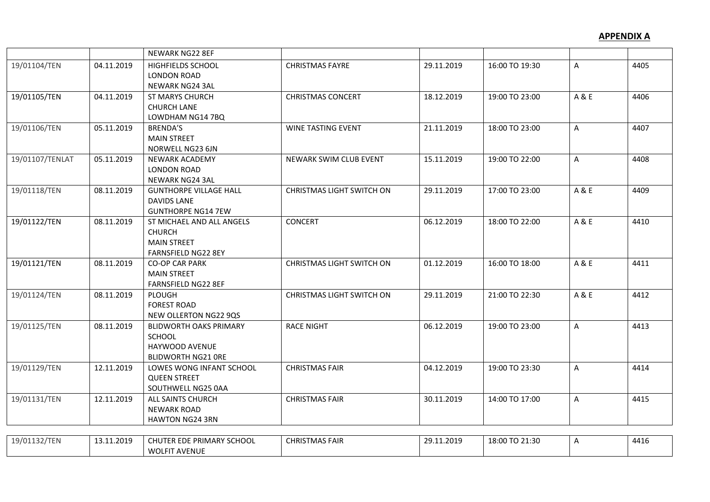|                 |            | NEWARK NG22 8EF                                                                                |                                  |            |                |       |      |
|-----------------|------------|------------------------------------------------------------------------------------------------|----------------------------------|------------|----------------|-------|------|
| 19/01104/TEN    | 04.11.2019 | <b>HIGHFIELDS SCHOOL</b><br><b>LONDON ROAD</b><br>NEWARK NG24 3AL                              | <b>CHRISTMAS FAYRE</b>           | 29.11.2019 | 16:00 TO 19:30 | A     | 4405 |
| 19/01105/TEN    | 04.11.2019 | <b>ST MARYS CHURCH</b><br><b>CHURCH LANE</b><br>LOWDHAM NG14 7BQ                               | <b>CHRISTMAS CONCERT</b>         | 18.12.2019 | 19:00 TO 23:00 | A & E | 4406 |
| 19/01106/TEN    | 05.11.2019 | BRENDA'S<br><b>MAIN STREET</b><br>NORWELL NG23 6JN                                             | <b>WINE TASTING EVENT</b>        | 21.11.2019 | 18:00 TO 23:00 | A     | 4407 |
| 19/01107/TENLAT | 05.11.2019 | <b>NEWARK ACADEMY</b><br><b>LONDON ROAD</b><br>NEWARK NG24 3AL                                 | NEWARK SWIM CLUB EVENT           | 15.11.2019 | 19:00 TO 22:00 | A     | 4408 |
| 19/01118/TEN    | 08.11.2019 | <b>GUNTHORPE VILLAGE HALL</b><br><b>DAVIDS LANE</b><br><b>GUNTHORPE NG14 7EW</b>               | <b>CHRISTMAS LIGHT SWITCH ON</b> | 29.11.2019 | 17:00 TO 23:00 | A & E | 4409 |
| 19/01122/TEN    | 08.11.2019 | ST MICHAEL AND ALL ANGELS<br><b>CHURCH</b><br><b>MAIN STREET</b><br><b>FARNSFIELD NG22 8EY</b> | <b>CONCERT</b>                   | 06.12.2019 | 18:00 TO 22:00 | A & E | 4410 |
| 19/01121/TEN    | 08.11.2019 | <b>CO-OP CAR PARK</b><br><b>MAIN STREET</b><br>FARNSFIELD NG22 8EF                             | <b>CHRISTMAS LIGHT SWITCH ON</b> | 01.12.2019 | 16:00 TO 18:00 | A & E | 4411 |
| 19/01124/TEN    | 08.11.2019 | PLOUGH<br><b>FOREST ROAD</b><br>NEW OLLERTON NG22 9QS                                          | <b>CHRISTMAS LIGHT SWITCH ON</b> | 29.11.2019 | 21:00 TO 22:30 | A & E | 4412 |
| 19/01125/TEN    | 08.11.2019 | <b>BLIDWORTH OAKS PRIMARY</b><br>SCHOOL<br>HAYWOOD AVENUE<br><b>BLIDWORTH NG21 ORE</b>         | <b>RACE NIGHT</b>                | 06.12.2019 | 19:00 TO 23:00 | A     | 4413 |
| 19/01129/TEN    | 12.11.2019 | LOWES WONG INFANT SCHOOL<br><b>QUEEN STREET</b><br>SOUTHWELL NG25 0AA                          | <b>CHRISTMAS FAIR</b>            | 04.12.2019 | 19:00 TO 23:30 | A     | 4414 |
| 19/01131/TEN    | 12.11.2019 | ALL SAINTS CHURCH<br><b>NEWARK ROAD</b><br><b>HAWTON NG24 3RN</b>                              | <b>CHRISTMAS FAIR</b>            | 30.11.2019 | 14:00 TO 17:00 | A     | 4415 |
|                 |            |                                                                                                |                                  |            |                |       |      |
| 19/01132/TEN    | 13.11.2019 | CHUTER EDE PRIMARY SCHOOL<br><b>WOLFIT AVENUE</b>                                              | <b>CHRISTMAS FAIR</b>            | 29.11.2019 | 18:00 TO 21:30 | A     | 4416 |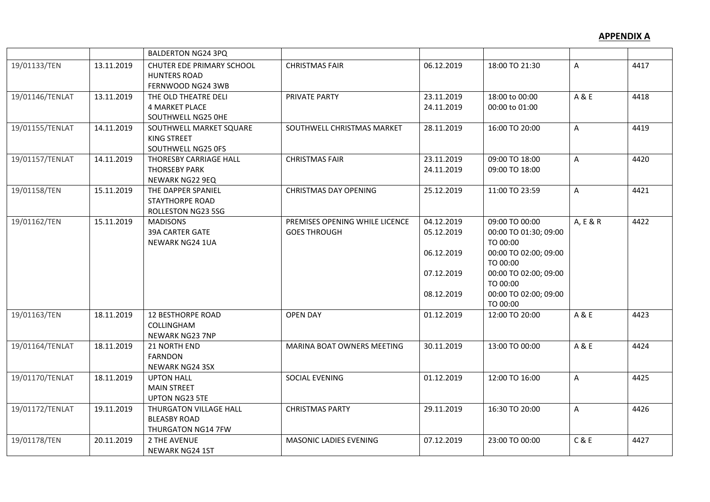|                 |            | <b>BALDERTON NG24 3PQ</b>                                                  |                                                       |                                                                    |                                                                                                                                                                    |          |      |
|-----------------|------------|----------------------------------------------------------------------------|-------------------------------------------------------|--------------------------------------------------------------------|--------------------------------------------------------------------------------------------------------------------------------------------------------------------|----------|------|
| 19/01133/TEN    | 13.11.2019 | CHUTER EDE PRIMARY SCHOOL<br><b>HUNTERS ROAD</b><br>FERNWOOD NG24 3WB      | <b>CHRISTMAS FAIR</b>                                 | 06.12.2019                                                         | 18:00 TO 21:30                                                                                                                                                     | A        | 4417 |
| 19/01146/TENLAT | 13.11.2019 | THE OLD THEATRE DELI<br><b>4 MARKET PLACE</b><br>SOUTHWELL NG25 OHE        | PRIVATE PARTY                                         | 23.11.2019<br>24.11.2019                                           | 18:00 to 00:00<br>00:00 to 01:00                                                                                                                                   | A & E    | 4418 |
| 19/01155/TENLAT | 14.11.2019 | SOUTHWELL MARKET SQUARE<br><b>KING STREET</b><br>SOUTHWELL NG25 OFS        | SOUTHWELL CHRISTMAS MARKET                            | 28.11.2019                                                         | 16:00 TO 20:00                                                                                                                                                     | A        | 4419 |
| 19/01157/TENLAT | 14.11.2019 | THORESBY CARRIAGE HALL<br><b>THORSEBY PARK</b><br>NEWARK NG22 9EQ          | <b>CHRISTMAS FAIR</b>                                 | 23.11.2019<br>24.11.2019                                           | 09:00 TO 18:00<br>09:00 TO 18:00                                                                                                                                   | A        | 4420 |
| 19/01158/TEN    | 15.11.2019 | THE DAPPER SPANIEL<br><b>STAYTHORPE ROAD</b><br>ROLLESTON NG23 5SG         | <b>CHRISTMAS DAY OPENING</b>                          | 25.12.2019                                                         | 11:00 TO 23:59                                                                                                                                                     | A        | 4421 |
| 19/01162/TEN    | 15.11.2019 | <b>MADISONS</b><br>39A CARTER GATE<br><b>NEWARK NG24 1UA</b>               | PREMISES OPENING WHILE LICENCE<br><b>GOES THROUGH</b> | 04.12.2019<br>05.12.2019<br>06.12.2019<br>07.12.2019<br>08.12.2019 | 09:00 TO 00:00<br>00:00 TO 01:30; 09:00<br>TO 00:00<br>00:00 TO 02:00; 09:00<br>TO 00:00<br>00:00 TO 02:00; 09:00<br>TO 00:00<br>00:00 TO 02:00; 09:00<br>TO 00:00 | A, E & R | 4422 |
| 19/01163/TEN    | 18.11.2019 | <b>12 BESTHORPE ROAD</b><br>COLLINGHAM<br>NEWARK NG23 7NP                  | <b>OPEN DAY</b>                                       | 01.12.2019                                                         | 12:00 TO 20:00                                                                                                                                                     | A & E    | 4423 |
| 19/01164/TENLAT | 18.11.2019 | <b>21 NORTH END</b><br><b>FARNDON</b><br><b>NEWARK NG24 3SX</b>            | MARINA BOAT OWNERS MEETING                            | 30.11.2019                                                         | 13:00 TO 00:00                                                                                                                                                     | A & E    | 4424 |
| 19/01170/TENLAT | 18.11.2019 | <b>UPTON HALL</b><br><b>MAIN STREET</b><br><b>UPTON NG23 5TE</b>           | SOCIAL EVENING                                        | 01.12.2019                                                         | 12:00 TO 16:00                                                                                                                                                     | Α        | 4425 |
| 19/01172/TENLAT | 19.11.2019 | <b>THURGATON VILLAGE HALL</b><br><b>BLEASBY ROAD</b><br>THURGATON NG14 7FW | <b>CHRISTMAS PARTY</b>                                | 29.11.2019                                                         | 16:30 TO 20:00                                                                                                                                                     | A        | 4426 |
| 19/01178/TEN    | 20.11.2019 | 2 THE AVENUE<br><b>NEWARK NG24 1ST</b>                                     | <b>MASONIC LADIES EVENING</b>                         | 07.12.2019                                                         | 23:00 TO 00:00                                                                                                                                                     | C & E    | 4427 |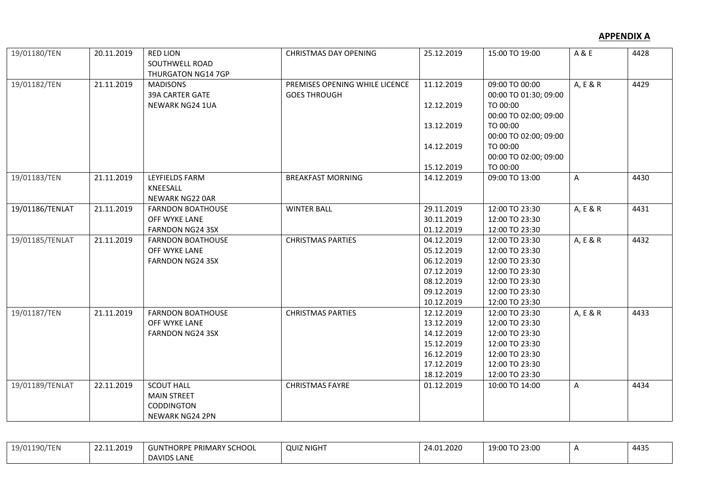## **APPENDIX A**

| 19/01180/TEN    | 20.11.2019 | <b>RED LION</b><br>SOUTHWELL ROAD                        | <b>CHRISTMAS DAY OPENING</b>                          | 25.12.2019 | 15:00 TO 19:00                          | A & E    | 4428 |
|-----------------|------------|----------------------------------------------------------|-------------------------------------------------------|------------|-----------------------------------------|----------|------|
| 19/01182/TEN    | 21.11.2019 | THURGATON NG14 7GP<br><b>MADISONS</b><br>39A CARTER GATE | PREMISES OPENING WHILE LICENCE<br><b>GOES THROUGH</b> | 11.12.2019 | 09:00 TO 00:00<br>00:00 TO 01:30; 09:00 | A, E & R | 4429 |
|                 |            | NEWARK NG24 1UA                                          |                                                       | 12.12.2019 | TO 00:00                                |          |      |
|                 |            |                                                          |                                                       |            | 00:00 TO 02:00; 09:00                   |          |      |
|                 |            |                                                          |                                                       | 13.12.2019 | TO 00:00                                |          |      |
|                 |            |                                                          |                                                       |            | 00:00 TO 02:00; 09:00                   |          |      |
|                 |            |                                                          |                                                       | 14.12.2019 | TO 00:00                                |          |      |
|                 |            |                                                          |                                                       |            | 00:00 TO 02:00; 09:00                   |          |      |
|                 |            |                                                          |                                                       | 15.12.2019 | TO 00:00                                |          |      |
| 19/01183/TEN    | 21.11.2019 | <b>LEYFIELDS FARM</b>                                    | <b>BREAKFAST MORNING</b>                              | 14.12.2019 | 09:00 TO 13:00                          | A        | 4430 |
|                 |            | KNEESALL                                                 |                                                       |            |                                         |          |      |
|                 |            | <b>NEWARK NG22 OAR</b>                                   |                                                       |            |                                         |          |      |
| 19/01186/TENLAT | 21.11.2019 | <b>FARNDON BOATHOUSE</b>                                 | <b>WINTER BALL</b>                                    | 29.11.2019 | 12:00 TO 23:30                          | A, E & R | 4431 |
|                 |            | OFF WYKE LANE                                            |                                                       | 30.11.2019 | 12:00 TO 23:30                          |          |      |
|                 |            | FARNDON NG24 3SX                                         |                                                       | 01.12.2019 | 12:00 TO 23:30                          |          |      |
| 19/01185/TENLAT | 21.11.2019 | <b>FARNDON BOATHOUSE</b>                                 | <b>CHRISTMAS PARTIES</b>                              | 04.12.2019 | 12:00 TO 23:30                          | A, E & R | 4432 |
|                 |            | OFF WYKE LANE                                            |                                                       | 05.12.2019 | 12:00 TO 23:30                          |          |      |
|                 |            | <b>FARNDON NG24 3SX</b>                                  |                                                       | 06.12.2019 | 12:00 TO 23:30                          |          |      |
|                 |            |                                                          |                                                       | 07.12.2019 | 12:00 TO 23:30                          |          |      |
|                 |            |                                                          |                                                       | 08.12.2019 | 12:00 TO 23:30                          |          |      |
|                 |            |                                                          |                                                       | 09.12.2019 | 12:00 TO 23:30                          |          |      |
|                 |            |                                                          |                                                       | 10.12.2019 | 12:00 TO 23:30                          |          |      |
| 19/01187/TEN    | 21.11.2019 | <b>FARNDON BOATHOUSE</b>                                 | <b>CHRISTMAS PARTIES</b>                              | 12.12.2019 | 12:00 TO 23:30                          | A, E & R | 4433 |
|                 |            | OFF WYKE LANE                                            |                                                       | 13.12.2019 | 12:00 TO 23:30                          |          |      |
|                 |            | <b>FARNDON NG24 3SX</b>                                  |                                                       | 14.12.2019 | 12:00 TO 23:30                          |          |      |
|                 |            |                                                          |                                                       | 15.12.2019 | 12:00 TO 23:30                          |          |      |
|                 |            |                                                          |                                                       | 16.12.2019 | 12:00 TO 23:30                          |          |      |
|                 |            |                                                          |                                                       | 17.12.2019 | 12:00 TO 23:30                          |          |      |
|                 |            |                                                          |                                                       | 18.12.2019 | 12:00 TO 23:30                          |          |      |
| 19/01189/TENLAT | 22.11.2019 | <b>SCOUT HALL</b>                                        | <b>CHRISTMAS FAYRE</b>                                | 01.12.2019 | 10:00 TO 14:00                          | A        | 4434 |
|                 |            | <b>MAIN STREET</b>                                       |                                                       |            |                                         |          |      |
|                 |            | CODDINGTON                                               |                                                       |            |                                         |          |      |
|                 |            | <b>NEWARK NG24 2PN</b>                                   |                                                       |            |                                         |          |      |

| 19/01190/TEN | 22.11.2019 | <b>GUNTHORPE PRIMARY SCHOOL</b> | <b>QUIZ NIGHT</b> | 24.01.2020 | 19:00 TO 23:00 | 4435 |
|--------------|------------|---------------------------------|-------------------|------------|----------------|------|
|              |            | <b>DAVIDS LANE</b>              |                   |            |                |      |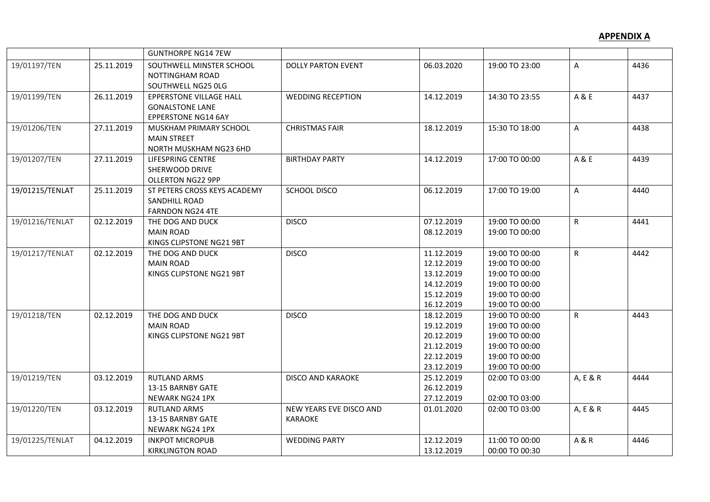|                 |            | <b>GUNTHORPE NG14 7EW</b>                                                              |                                           |                                                                                  |                                                                                                          |                |      |
|-----------------|------------|----------------------------------------------------------------------------------------|-------------------------------------------|----------------------------------------------------------------------------------|----------------------------------------------------------------------------------------------------------|----------------|------|
| 19/01197/TEN    | 25.11.2019 | SOUTHWELL MINSTER SCHOOL<br>NOTTINGHAM ROAD<br>SOUTHWELL NG25 OLG                      | <b>DOLLY PARTON EVENT</b>                 | 06.03.2020                                                                       | 19:00 TO 23:00                                                                                           | A              | 4436 |
| 19/01199/TEN    | 26.11.2019 | <b>EPPERSTONE VILLAGE HALL</b><br><b>GONALSTONE LANE</b><br><b>EPPERSTONE NG14 6AY</b> | <b>WEDDING RECEPTION</b>                  | 14.12.2019                                                                       | 14:30 TO 23:55                                                                                           | A & E          | 4437 |
| 19/01206/TEN    | 27.11.2019 | MUSKHAM PRIMARY SCHOOL<br><b>MAIN STREET</b><br>NORTH MUSKHAM NG23 6HD                 | <b>CHRISTMAS FAIR</b>                     | 18.12.2019                                                                       | 15:30 TO 18:00                                                                                           | $\mathsf{A}$   | 4438 |
| 19/01207/TEN    | 27.11.2019 | LIFESPRING CENTRE<br><b>SHERWOOD DRIVE</b><br><b>OLLERTON NG22 9PP</b>                 | <b>BIRTHDAY PARTY</b>                     | 14.12.2019                                                                       | 17:00 TO 00:00                                                                                           | A & E          | 4439 |
| 19/01215/TENLAT | 25.11.2019 | ST PETERS CROSS KEYS ACADEMY<br><b>SANDHILL ROAD</b><br><b>FARNDON NG24 4TE</b>        | <b>SCHOOL DISCO</b>                       | 06.12.2019                                                                       | 17:00 TO 19:00                                                                                           | A              | 4440 |
| 19/01216/TENLAT | 02.12.2019 | THE DOG AND DUCK<br><b>MAIN ROAD</b><br>KINGS CLIPSTONE NG21 9BT                       | <b>DISCO</b>                              | 07.12.2019<br>08.12.2019                                                         | 19:00 TO 00:00<br>19:00 TO 00:00                                                                         | $\mathsf{R}$   | 4441 |
| 19/01217/TENLAT | 02.12.2019 | THE DOG AND DUCK<br><b>MAIN ROAD</b><br>KINGS CLIPSTONE NG21 9BT                       | <b>DISCO</b>                              | 11.12.2019<br>12.12.2019<br>13.12.2019<br>14.12.2019<br>15.12.2019<br>16.12.2019 | 19:00 TO 00:00<br>19:00 TO 00:00<br>19:00 TO 00:00<br>19:00 TO 00:00<br>19:00 TO 00:00<br>19:00 TO 00:00 | $\mathsf{R}$   | 4442 |
| 19/01218/TEN    | 02.12.2019 | THE DOG AND DUCK<br><b>MAIN ROAD</b><br>KINGS CLIPSTONE NG21 9BT                       | <b>DISCO</b>                              | 18.12.2019<br>19.12.2019<br>20.12.2019<br>21.12.2019<br>22.12.2019<br>23.12.2019 | 19:00 TO 00:00<br>19:00 TO 00:00<br>19:00 TO 00:00<br>19:00 TO 00:00<br>19:00 TO 00:00<br>19:00 TO 00:00 | R              | 4443 |
| 19/01219/TEN    | 03.12.2019 | <b>RUTLAND ARMS</b><br>13-15 BARNBY GATE<br>NEWARK NG24 1PX                            | <b>DISCO AND KARAOKE</b>                  | 25.12.2019<br>26.12.2019<br>27.12.2019                                           | 02:00 TO 03:00<br>02:00 TO 03:00                                                                         | A, E & R       | 4444 |
| 19/01220/TEN    | 03.12.2019 | <b>RUTLAND ARMS</b><br>13-15 BARNBY GATE<br>NEWARK NG24 1PX                            | NEW YEARS EVE DISCO AND<br><b>KARAOKE</b> | 01.01.2020                                                                       | 02:00 TO 03:00                                                                                           | A, E & R       | 4445 |
| 19/01225/TENLAT | 04.12.2019 | <b>INKPOT MICROPUB</b><br><b>KIRKLINGTON ROAD</b>                                      | <b>WEDDING PARTY</b>                      | 12.12.2019<br>13.12.2019                                                         | 11:00 TO 00:00<br>00:00 TO 00:30                                                                         | <b>A&amp;R</b> | 4446 |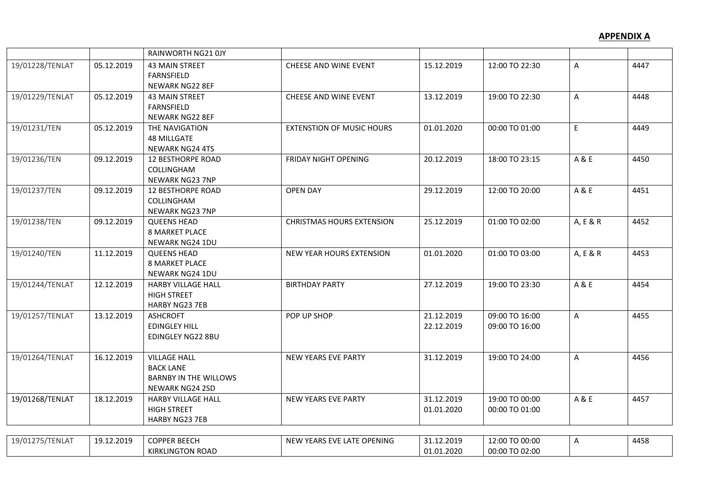|                 |            | RAINWORTH NG21 0JY                                                                                |                                  |                          |                                  |          |      |
|-----------------|------------|---------------------------------------------------------------------------------------------------|----------------------------------|--------------------------|----------------------------------|----------|------|
| 19/01228/TENLAT | 05.12.2019 | <b>43 MAIN STREET</b><br><b>FARNSFIELD</b><br>NEWARK NG22 8EF                                     | CHEESE AND WINE EVENT            | 15.12.2019               | 12:00 TO 22:30                   | Α        | 4447 |
| 19/01229/TENLAT | 05.12.2019 | <b>43 MAIN STREET</b><br><b>FARNSFIELD</b><br><b>NEWARK NG22 8EF</b>                              | CHEESE AND WINE EVENT            | 13.12.2019               | 19:00 TO 22:30                   | Α        | 4448 |
| 19/01231/TEN    | 05.12.2019 | THE NAVIGATION<br><b>48 MILLGATE</b><br>NEWARK NG24 4TS                                           | <b>EXTENSTION OF MUSIC HOURS</b> | 01.01.2020               | 00:00 TO 01:00                   | E.       | 4449 |
| 19/01236/TEN    | 09.12.2019 | <b>12 BESTHORPE ROAD</b><br>COLLINGHAM<br><b>NEWARK NG23 7NP</b>                                  | <b>FRIDAY NIGHT OPENING</b>      | 20.12.2019               | 18:00 TO 23:15                   | A & E    | 4450 |
| 19/01237/TEN    | 09.12.2019 | <b>12 BESTHORPE ROAD</b><br><b>COLLINGHAM</b><br><b>NEWARK NG23 7NP</b>                           | <b>OPEN DAY</b>                  | 29.12.2019               | 12:00 TO 20:00                   | A & E    | 4451 |
| 19/01238/TEN    | 09.12.2019 | <b>QUEENS HEAD</b><br><b>8 MARKET PLACE</b><br>NEWARK NG24 1DU                                    | <b>CHRISTMAS HOURS EXTENSION</b> | 25.12.2019               | 01:00 TO 02:00                   | A, E & R | 4452 |
| 19/01240/TEN    | 11.12.2019 | <b>QUEENS HEAD</b><br><b>8 MARKET PLACE</b><br><b>NEWARK NG24 1DU</b>                             | NEW YEAR HOURS EXTENSION         | 01.01.2020               | 01:00 TO 03:00                   | A, E & R | 4453 |
| 19/01244/TENLAT | 12.12.2019 | <b>HARBY VILLAGE HALL</b><br><b>HIGH STREET</b><br>HARBY NG23 7EB                                 | <b>BIRTHDAY PARTY</b>            | 27.12.2019               | 19:00 TO 23:30                   | A & E    | 4454 |
| 19/01257/TENLAT | 13.12.2019 | <b>ASHCROFT</b><br><b>EDINGLEY HILL</b><br>EDINGLEY NG22 8BU                                      | POP UP SHOP                      | 21.12.2019<br>22.12.2019 | 09:00 TO 16:00<br>09:00 TO 16:00 | A        | 4455 |
| 19/01264/TENLAT | 16.12.2019 | <b>VILLAGE HALL</b><br><b>BACK LANE</b><br><b>BARNBY IN THE WILLOWS</b><br><b>NEWARK NG24 2SD</b> | NEW YEARS EVE PARTY              | 31.12.2019               | 19:00 TO 24:00                   | Α        | 4456 |
| 19/01268/TENLAT | 18.12.2019 | <b>HARBY VILLAGE HALL</b><br><b>HIGH STREET</b><br><b>HARBY NG23 7EB</b>                          | <b>NEW YEARS EVE PARTY</b>       | 31.12.2019<br>01.01.2020 | 19:00 TO 00:00<br>00:00 TO 01:00 | A & E    | 4457 |
|                 |            |                                                                                                   |                                  |                          |                                  |          |      |
| 19/01275/TENLAT | 19.12.2019 | <b>COPPER BEECH</b><br><b>KIRKLINGTON ROAD</b>                                                    | NEW YEARS EVE LATE OPENING       | 31.12.2019<br>01.01.2020 | 12:00 TO 00:00<br>00:00 TO 02:00 | Α        | 4458 |